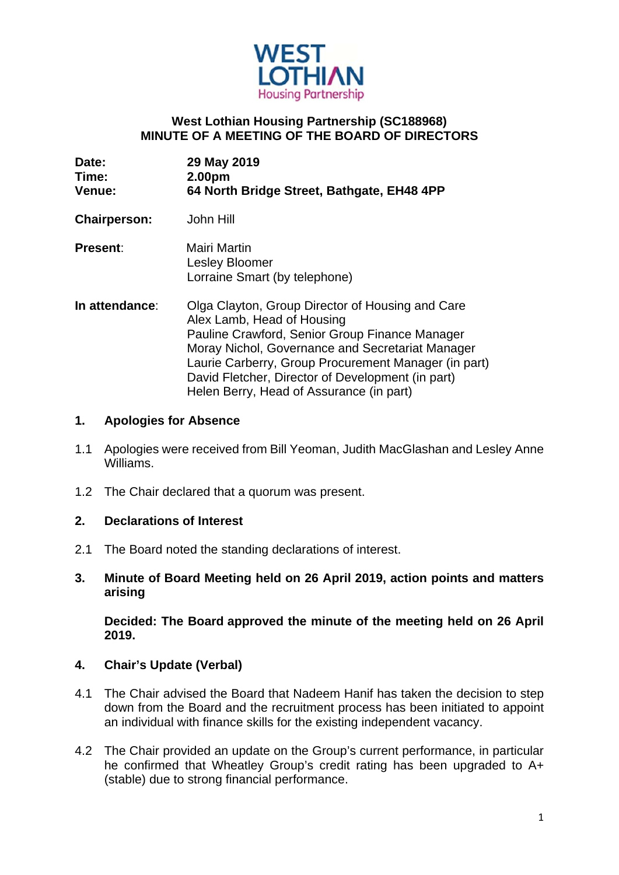

### **West Lothian Housing Partnership (SC188968) MINUTE OF A MEETING OF THE BOARD OF DIRECTORS**

| Date:<br>Time:<br><b>Venue:</b> | 29 May 2019<br>2.00pm<br>64 North Bridge Street, Bathgate, EH48 4PP                                                                                                                                                                                                                                                                           |
|---------------------------------|-----------------------------------------------------------------------------------------------------------------------------------------------------------------------------------------------------------------------------------------------------------------------------------------------------------------------------------------------|
| <b>Chairperson:</b>             | John Hill                                                                                                                                                                                                                                                                                                                                     |
| <b>Present:</b>                 | <b>Mairi Martin</b><br>Lesley Bloomer<br>Lorraine Smart (by telephone)                                                                                                                                                                                                                                                                        |
| In attendance:                  | Olga Clayton, Group Director of Housing and Care<br>Alex Lamb, Head of Housing<br>Pauline Crawford, Senior Group Finance Manager<br>Moray Nichol, Governance and Secretariat Manager<br>Laurie Carberry, Group Procurement Manager (in part)<br>David Fletcher, Director of Development (in part)<br>Helen Berry, Head of Assurance (in part) |

#### **1. Apologies for Absence**

- 1.1 Apologies were received from Bill Yeoman, Judith MacGlashan and Lesley Anne Williams.
- 1.2 The Chair declared that a quorum was present.

#### **2. Declarations of Interest**

- 2.1 The Board noted the standing declarations of interest.
- **3. Minute of Board Meeting held on 26 April 2019, action points and matters arising**

 **Decided: The Board approved the minute of the meeting held on 26 April 2019.** 

#### **4. Chair's Update (Verbal)**

- 4.1 The Chair advised the Board that Nadeem Hanif has taken the decision to step down from the Board and the recruitment process has been initiated to appoint an individual with finance skills for the existing independent vacancy.
- 4.2 The Chair provided an update on the Group's current performance, in particular he confirmed that Wheatley Group's credit rating has been upgraded to A+ (stable) due to strong financial performance.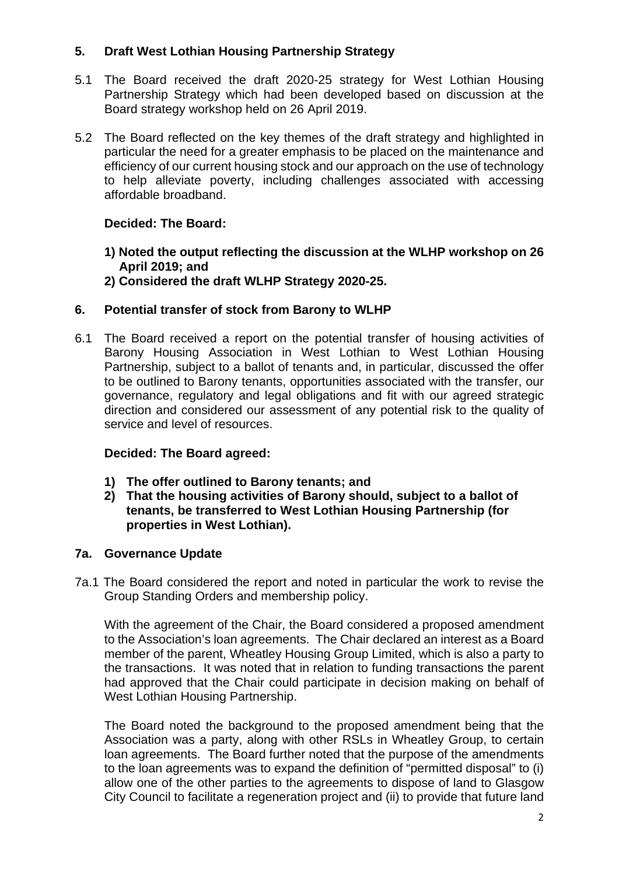# **5. Draft West Lothian Housing Partnership Strategy**

- 5.1 The Board received the draft 2020-25 strategy for West Lothian Housing Partnership Strategy which had been developed based on discussion at the Board strategy workshop held on 26 April 2019.
- 5.2 The Board reflected on the key themes of the draft strategy and highlighted in particular the need for a greater emphasis to be placed on the maintenance and efficiency of our current housing stock and our approach on the use of technology to help alleviate poverty, including challenges associated with accessing affordable broadband.

# **Decided: The Board:**

- **1) Noted the output reflecting the discussion at the WLHP workshop on 26 April 2019; and**
- **2) Considered the draft WLHP Strategy 2020-25.**

## **6. Potential transfer of stock from Barony to WLHP**

6.1 The Board received a report on the potential transfer of housing activities of Barony Housing Association in West Lothian to West Lothian Housing Partnership, subject to a ballot of tenants and, in particular, discussed the offer to be outlined to Barony tenants, opportunities associated with the transfer, our governance, regulatory and legal obligations and fit with our agreed strategic direction and considered our assessment of any potential risk to the quality of service and level of resources.

## **Decided: The Board agreed:**

- **1) The offer outlined to Barony tenants; and**
- **2) That the housing activities of Barony should, subject to a ballot of tenants, be transferred to West Lothian Housing Partnership (for properties in West Lothian).**

## **7a. Governance Update**

7a.1 The Board considered the report and noted in particular the work to revise the Group Standing Orders and membership policy.

With the agreement of the Chair, the Board considered a proposed amendment to the Association's loan agreements. The Chair declared an interest as a Board member of the parent, Wheatley Housing Group Limited, which is also a party to the transactions. It was noted that in relation to funding transactions the parent had approved that the Chair could participate in decision making on behalf of West Lothian Housing Partnership.

The Board noted the background to the proposed amendment being that the Association was a party, along with other RSLs in Wheatley Group, to certain loan agreements. The Board further noted that the purpose of the amendments to the loan agreements was to expand the definition of "permitted disposal" to (i) allow one of the other parties to the agreements to dispose of land to Glasgow City Council to facilitate a regeneration project and (ii) to provide that future land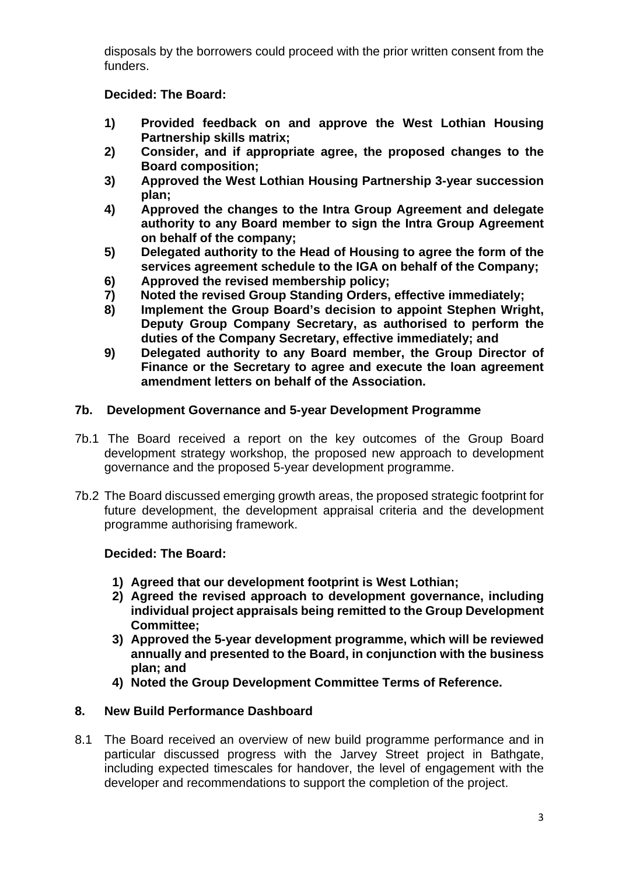disposals by the borrowers could proceed with the prior written consent from the funders.

# **Decided: The Board:**

- **1) Provided feedback on and approve the West Lothian Housing Partnership skills matrix;**
- **2) Consider, and if appropriate agree, the proposed changes to the Board composition;**
- **3) Approved the West Lothian Housing Partnership 3-year succession plan;**
- **4) Approved the changes to the Intra Group Agreement and delegate authority to any Board member to sign the Intra Group Agreement on behalf of the company;**
- **5) Delegated authority to the Head of Housing to agree the form of the services agreement schedule to the IGA on behalf of the Company;**
- **6) Approved the revised membership policy;**
- **7) Noted the revised Group Standing Orders, effective immediately;**
- **8) Implement the Group Board's decision to appoint Stephen Wright, Deputy Group Company Secretary, as authorised to perform the duties of the Company Secretary, effective immediately; and**
- **9) Delegated authority to any Board member, the Group Director of Finance or the Secretary to agree and execute the loan agreement amendment letters on behalf of the Association.**

## **7b. Development Governance and 5-year Development Programme**

- 7b.1 The Board received a report on the key outcomes of the Group Board development strategy workshop, the proposed new approach to development governance and the proposed 5-year development programme.
- 7b.2 The Board discussed emerging growth areas, the proposed strategic footprint for future development, the development appraisal criteria and the development programme authorising framework.

## **Decided: The Board:**

- **1) Agreed that our development footprint is West Lothian;**
- **2) Agreed the revised approach to development governance, including individual project appraisals being remitted to the Group Development Committee;**
- **3) Approved the 5-year development programme, which will be reviewed annually and presented to the Board, in conjunction with the business plan; and**
- **4) Noted the Group Development Committee Terms of Reference.**

## **8. New Build Performance Dashboard**

8.1 The Board received an overview of new build programme performance and in particular discussed progress with the Jarvey Street project in Bathgate, including expected timescales for handover, the level of engagement with the developer and recommendations to support the completion of the project.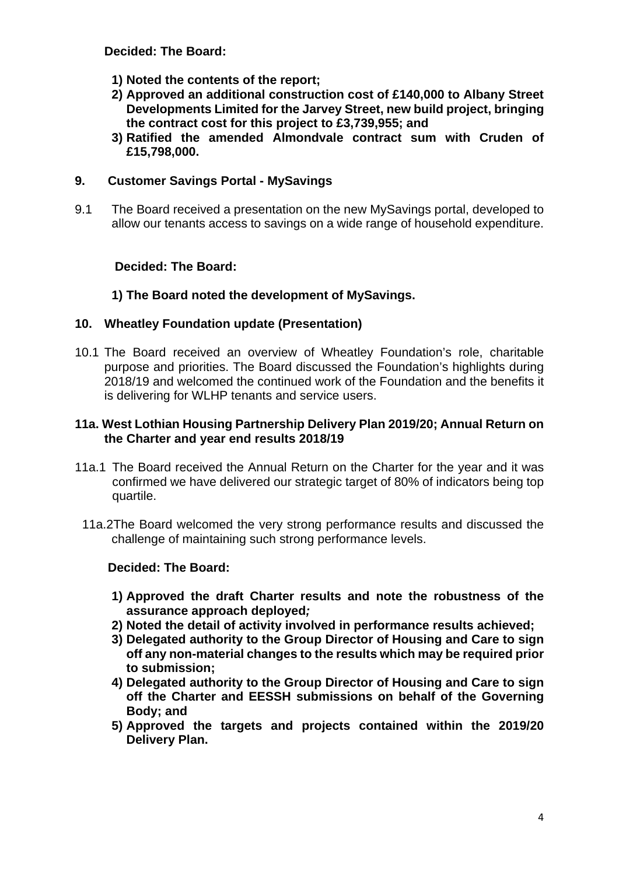**Decided: The Board:** 

- **1) Noted the contents of the report;**
- **2) Approved an additional construction cost of £140,000 to Albany Street Developments Limited for the Jarvey Street, new build project, bringing the contract cost for this project to £3,739,955; and**
- **3) Ratified the amended Almondvale contract sum with Cruden of £15,798,000.**

### **9. Customer Savings Portal - MySavings**

9.1 The Board received a presentation on the new MySavings portal, developed to allow our tenants access to savings on a wide range of household expenditure.

### **Decided: The Board:**

### **1) The Board noted the development of MySavings.**

### **10. Wheatley Foundation update (Presentation)**

10.1 The Board received an overview of Wheatley Foundation's role, charitable purpose and priorities. The Board discussed the Foundation's highlights during 2018/19 and welcomed the continued work of the Foundation and the benefits it is delivering for WLHP tenants and service users.

#### **11a. West Lothian Housing Partnership Delivery Plan 2019/20; Annual Return on the Charter and year end results 2018/19**

- 11a.1 The Board received the Annual Return on the Charter for the year and it was confirmed we have delivered our strategic target of 80% of indicators being top quartile.
- 11a.2The Board welcomed the very strong performance results and discussed the challenge of maintaining such strong performance levels.

### **Decided: The Board:**

- **1) Approved the draft Charter results and note the robustness of the assurance approach deployed***;*
- **2) Noted the detail of activity involved in performance results achieved;**
- **3) Delegated authority to the Group Director of Housing and Care to sign off any non-material changes to the results which may be required prior to submission;**
- **4) Delegated authority to the Group Director of Housing and Care to sign off the Charter and EESSH submissions on behalf of the Governing Body; and**
- **5) Approved the targets and projects contained within the 2019/20 Delivery Plan.**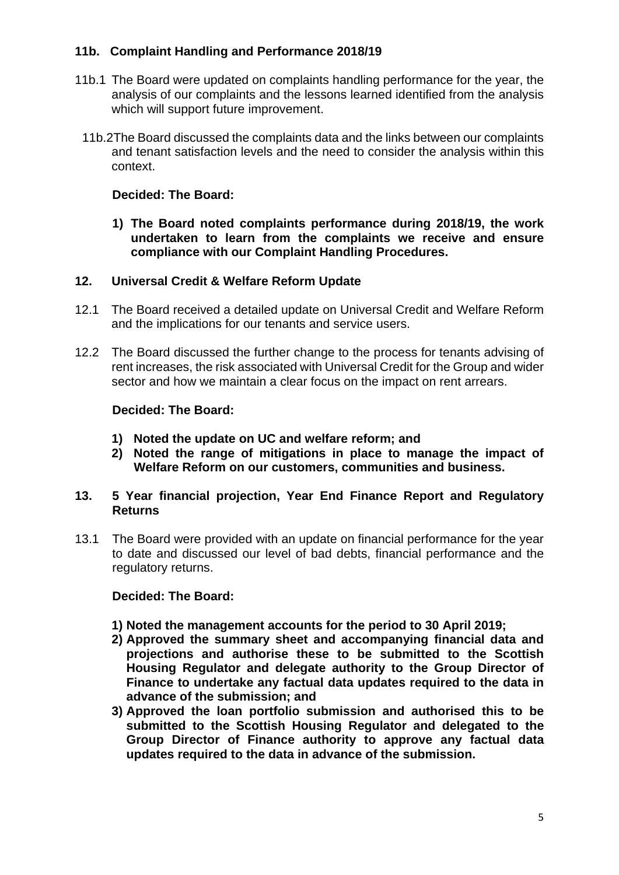### **11b. Complaint Handling and Performance 2018/19**

- 11b.1 The Board were updated on complaints handling performance for the year, the analysis of our complaints and the lessons learned identified from the analysis which will support future improvement.
	- 11b.2The Board discussed the complaints data and the links between our complaints and tenant satisfaction levels and the need to consider the analysis within this context.

#### **Decided: The Board:**

**1) The Board noted complaints performance during 2018/19, the work undertaken to learn from the complaints we receive and ensure compliance with our Complaint Handling Procedures.** 

#### **12. Universal Credit & Welfare Reform Update**

- 12.1 The Board received a detailed update on Universal Credit and Welfare Reform and the implications for our tenants and service users.
- 12.2 The Board discussed the further change to the process for tenants advising of rent increases, the risk associated with Universal Credit for the Group and wider sector and how we maintain a clear focus on the impact on rent arrears.

#### **Decided: The Board:**

- **1) Noted the update on UC and welfare reform; and**
- **2) Noted the range of mitigations in place to manage the impact of Welfare Reform on our customers, communities and business.**

### **13. 5 Year financial projection, Year End Finance Report and Regulatory Returns**

13.1 The Board were provided with an update on financial performance for the year to date and discussed our level of bad debts, financial performance and the regulatory returns.

#### **Decided: The Board:**

- **1) Noted the management accounts for the period to 30 April 2019;**
- **2) Approved the summary sheet and accompanying financial data and projections and authorise these to be submitted to the Scottish Housing Regulator and delegate authority to the Group Director of Finance to undertake any factual data updates required to the data in advance of the submission; and**
- **3) Approved the loan portfolio submission and authorised this to be submitted to the Scottish Housing Regulator and delegated to the Group Director of Finance authority to approve any factual data updates required to the data in advance of the submission.**